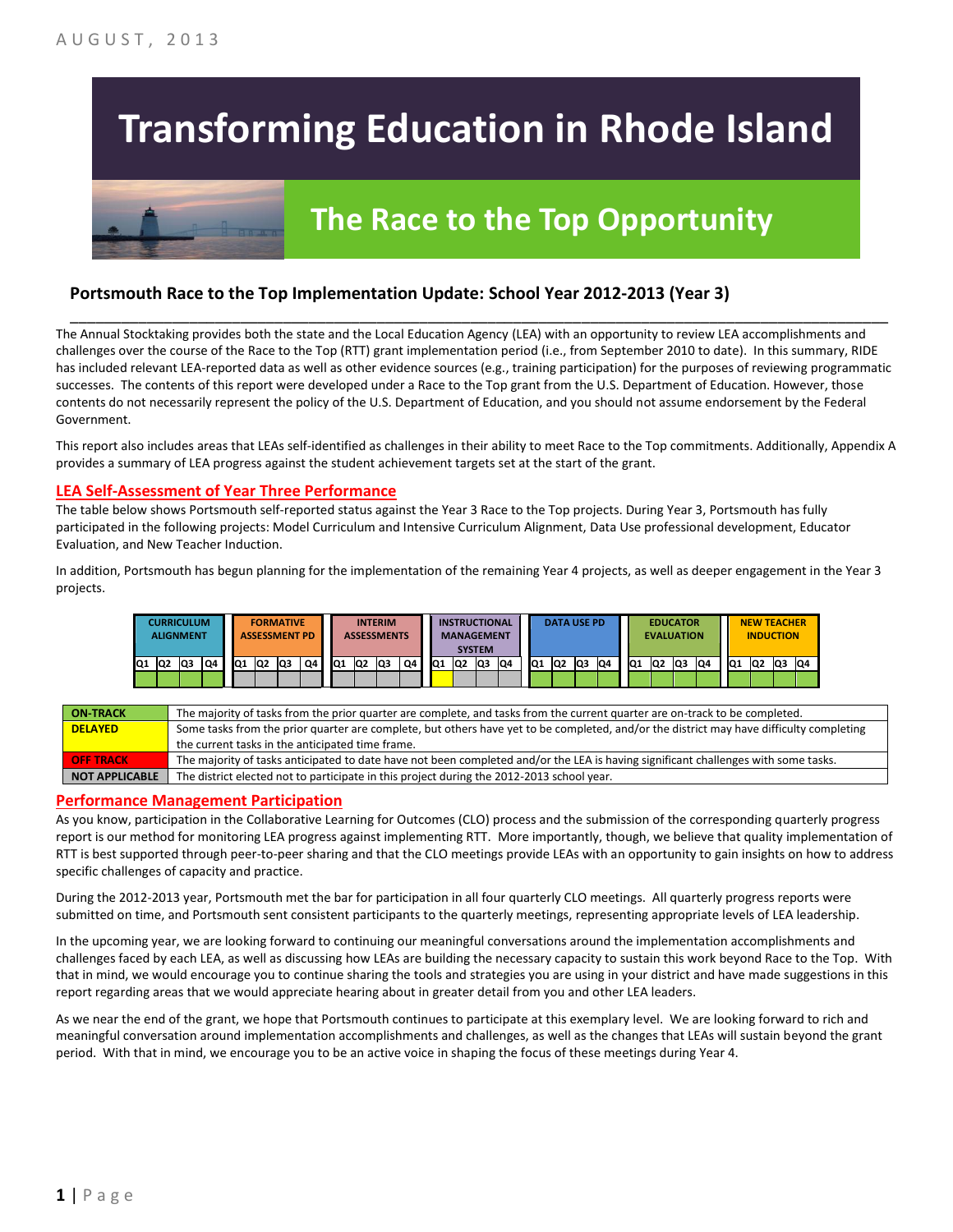# **Transforming Education in Rhode Island**

## **The Race to the Top Opportunity**

#### **Portsmouth Race to the Top Implementation Update: School Year 2012-2013 (Year 3)**

The Annual Stocktaking provides both the state and the Local Education Agency (LEA) with an opportunity to review LEA accomplishments and challenges over the course of the Race to the Top (RTT) grant implementation period (i.e., from September 2010 to date). In this summary, RIDE has included relevant LEA-reported data as well as other evidence sources (e.g., training participation) for the purposes of reviewing programmatic successes. The contents of this report were developed under a Race to the Top grant from the U.S. Department of Education. However, those contents do not necessarily represent the policy of the U.S. Department of Education, and you should not assume endorsement by the Federal Government.

\_\_\_\_\_\_\_\_\_\_\_\_\_\_\_\_\_\_\_\_\_\_\_\_\_\_\_\_\_\_\_\_\_\_\_\_\_\_\_\_\_\_\_\_\_\_\_\_\_\_\_\_\_\_\_\_\_\_\_\_\_\_\_\_\_\_\_\_\_\_\_\_\_\_\_\_\_\_\_\_\_\_\_\_\_\_\_\_\_\_\_\_\_\_\_\_

This report also includes areas that LEAs self-identified as challenges in their ability to meet Race to the Top commitments. Additionally, Appendix A provides a summary of LEA progress against the student achievement targets set at the start of the grant.

#### **LEA Self-Assessment of Year Three Performance**

The table below shows Portsmouth self-reported status against the Year 3 Race to the Top projects. During Year 3, Portsmouth has fully participated in the following projects: Model Curriculum and Intensive Curriculum Alignment, Data Use professional development, Educator Evaluation, and New Teacher Induction.

In addition, Portsmouth has begun planning for the implementation of the remaining Year 4 projects, as well as deeper engagement in the Year 3 projects.

|    |     | <b>CURRICULUM</b><br><b>ALIGNMENT</b> |    |     |     | <b>FORMATIVE</b><br><b>ASSESSMENT PD</b> |    |     |    | <b>INTERIM</b><br><b>ASSESSMENTS</b> |    |     |                | <b>INSTRUCTIONAL</b><br><b>MANAGEMENT</b><br><b>SYSTEM</b> |    |                 | <b>DATA USE PD</b> |     |    |                 | <b>EVALUATION</b> | <b>EDUCATOR</b> |    |                 | <b>NEW TEACHER</b><br><b>INDUCTION</b> |     |    |
|----|-----|---------------------------------------|----|-----|-----|------------------------------------------|----|-----|----|--------------------------------------|----|-----|----------------|------------------------------------------------------------|----|-----------------|--------------------|-----|----|-----------------|-------------------|-----------------|----|-----------------|----------------------------------------|-----|----|
| Q1 | lQ2 | lQ3                                   | Q4 | IQ1 | IQ2 | Q3                                       | Q4 | IQ1 | Q2 | Q3                                   | Q4 | IQ1 | Q <sub>2</sub> | lQ3                                                        | Q4 | IQ <sub>1</sub> | IQ2                | lQ3 | Q4 | IQ <sub>1</sub> | IQ <sub>2</sub>   | Q3              | Q4 | IQ <sub>1</sub> | Q2                                     | lQ3 | Q4 |
|    |     |                                       |    |     |     |                                          |    |     |    |                                      |    |     |                |                                                            |    |                 |                    |     |    |                 |                   |                 |    |                 |                                        |     |    |

| <b>ON-TRACK</b>  | The majority of tasks from the prior quarter are complete, and tasks from the current quarter are on-track to be completed.             |
|------------------|-----------------------------------------------------------------------------------------------------------------------------------------|
| <b>DELAYED</b>   | Some tasks from the prior quarter are complete, but others have yet to be completed, and/or the district may have difficulty completing |
|                  | the current tasks in the anticipated time frame.                                                                                        |
| <b>OFF TRACK</b> | The majority of tasks anticipated to date have not been completed and/or the LEA is having significant challenges with some tasks.      |
| NOT APPLICABLE   | The district elected not to participate in this project during the 2012-2013 school year.                                               |

#### **Performance Management Participation**

As you know, participation in the Collaborative Learning for Outcomes (CLO) process and the submission of the corresponding quarterly progress report is our method for monitoring LEA progress against implementing RTT. More importantly, though, we believe that quality implementation of RTT is best supported through peer-to-peer sharing and that the CLO meetings provide LEAs with an opportunity to gain insights on how to address specific challenges of capacity and practice.

During the 2012-2013 year, Portsmouth met the bar for participation in all four quarterly CLO meetings. All quarterly progress reports were submitted on time, and Portsmouth sent consistent participants to the quarterly meetings, representing appropriate levels of LEA leadership.

In the upcoming year, we are looking forward to continuing our meaningful conversations around the implementation accomplishments and challenges faced by each LEA, as well as discussing how LEAs are building the necessary capacity to sustain this work beyond Race to the Top. With that in mind, we would encourage you to continue sharing the tools and strategies you are using in your district and have made suggestions in this report regarding areas that we would appreciate hearing about in greater detail from you and other LEA leaders.

As we near the end of the grant, we hope that Portsmouth continues to participate at this exemplary level. We are looking forward to rich and meaningful conversation around implementation accomplishments and challenges, as well as the changes that LEAs will sustain beyond the grant period. With that in mind, we encourage you to be an active voice in shaping the focus of these meetings during Year 4.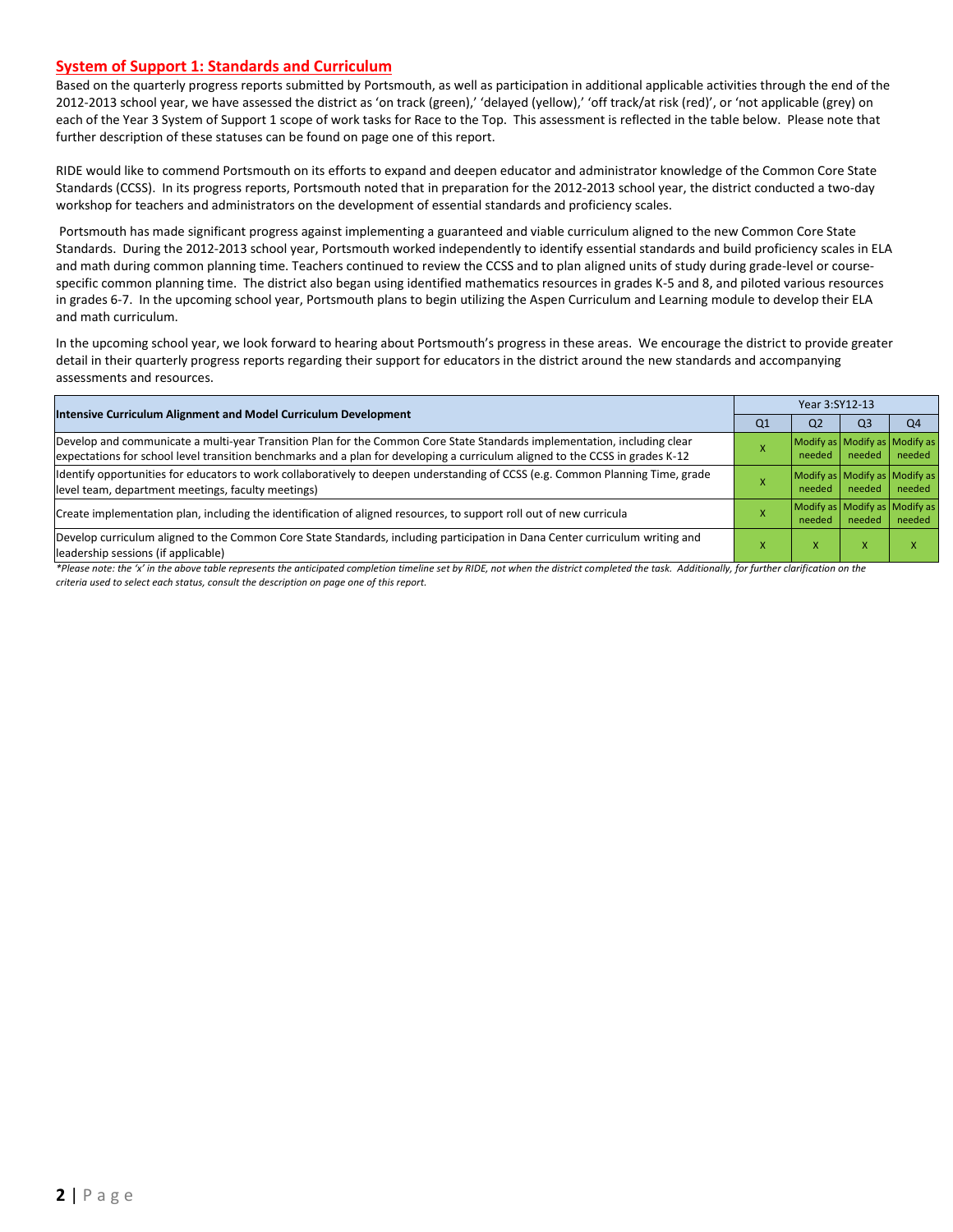#### **System of Support 1: Standards and Curriculum**

Based on the quarterly progress reports submitted by Portsmouth, as well as participation in additional applicable activities through the end of the 2012-2013 school year, we have assessed the district as 'on track (green),' 'delayed (yellow),' 'off track/at risk (red)', or 'not applicable (grey) on each of the Year 3 System of Support 1 scope of work tasks for Race to the Top. This assessment is reflected in the table below. Please note that further description of these statuses can be found on page one of this report.

RIDE would like to commend Portsmouth on its efforts to expand and deepen educator and administrator knowledge of the Common Core State Standards (CCSS). In its progress reports, Portsmouth noted that in preparation for the 2012-2013 school year, the district conducted a two-day workshop for teachers and administrators on the development of essential standards and proficiency scales.

Portsmouth has made significant progress against implementing a guaranteed and viable curriculum aligned to the new Common Core State Standards. During the 2012-2013 school year, Portsmouth worked independently to identify essential standards and build proficiency scales in ELA and math during common planning time. Teachers continued to review the CCSS and to plan aligned units of study during grade-level or coursespecific common planning time. The district also began using identified mathematics resources in grades K-5 and 8, and piloted various resources in grades 6-7. In the upcoming school year, Portsmouth plans to begin utilizing the Aspen Curriculum and Learning module to develop their ELA and math curriculum.

In the upcoming school year, we look forward to hearing about Portsmouth's progress in these areas. We encourage the district to provide greater detail in their quarterly progress reports regarding their support for educators in the district around the new standards and accompanying assessments and resources.

| <b>Intensive Curriculum Alignment and Model Curriculum Development</b>                                                                                                                                                                                    |                | Year 3:SY12-13                          |                |                |  |  |  |
|-----------------------------------------------------------------------------------------------------------------------------------------------------------------------------------------------------------------------------------------------------------|----------------|-----------------------------------------|----------------|----------------|--|--|--|
|                                                                                                                                                                                                                                                           | Q <sub>1</sub> | Q <sub>2</sub>                          | Q <sub>3</sub> | Q <sub>4</sub> |  |  |  |
| Develop and communicate a multi-year Transition Plan for the Common Core State Standards implementation, including clear<br>expectations for school level transition benchmarks and a plan for developing a curriculum aligned to the CCSS in grades K-12 |                | Modify as Modify as Modify as<br>needed | needed         | needed         |  |  |  |
| Identify opportunities for educators to work collaboratively to deepen understanding of CCSS (e.g. Common Planning Time, grade<br>level team, department meetings, faculty meetings)                                                                      |                | Modify as Modify as Modify as<br>needed | needed         | needed         |  |  |  |
| Create implementation plan, including the identification of aligned resources, to support roll out of new curricula                                                                                                                                       |                | Modify as Modify as Modify as<br>needed | needed         | needed         |  |  |  |
| Develop curriculum aligned to the Common Core State Standards, including participation in Dana Center curriculum writing and<br>leadership sessions (if applicable)                                                                                       |                | ^                                       |                |                |  |  |  |

*\*Please note: the 'x' in the above table represents the anticipated completion timeline set by RIDE, not when the district completed the task. Additionally, for further clarification on the criteria used to select each status, consult the description on page one of this report.*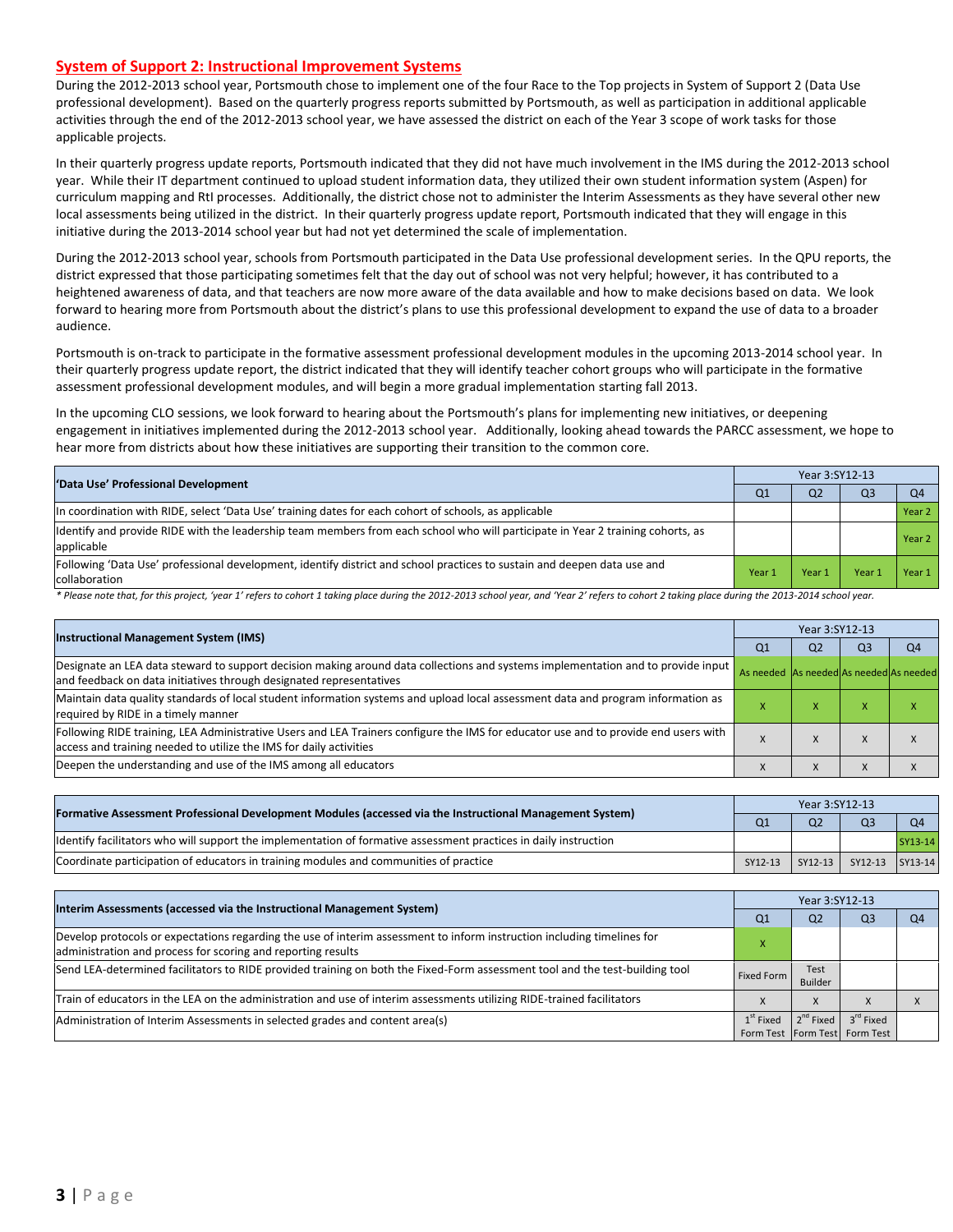#### **System of Support 2: Instructional Improvement Systems**

During the 2012-2013 school year, Portsmouth chose to implement one of the four Race to the Top projects in System of Support 2 (Data Use professional development). Based on the quarterly progress reports submitted by Portsmouth, as well as participation in additional applicable activities through the end of the 2012-2013 school year, we have assessed the district on each of the Year 3 scope of work tasks for those applicable projects.

In their quarterly progress update reports, Portsmouth indicated that they did not have much involvement in the IMS during the 2012-2013 school year. While their IT department continued to upload student information data, they utilized their own student information system (Aspen) for curriculum mapping and RtI processes. Additionally, the district chose not to administer the Interim Assessments as they have several other new local assessments being utilized in the district. In their quarterly progress update report, Portsmouth indicated that they will engage in this initiative during the 2013-2014 school year but had not yet determined the scale of implementation.

During the 2012-2013 school year, schools from Portsmouth participated in the Data Use professional development series. In the QPU reports, the district expressed that those participating sometimes felt that the day out of school was not very helpful; however, it has contributed to a heightened awareness of data, and that teachers are now more aware of the data available and how to make decisions based on data. We look forward to hearing more from Portsmouth about the district's plans to use this professional development to expand the use of data to a broader audience.

Portsmouth is on-track to participate in the formative assessment professional development modules in the upcoming 2013-2014 school year. In their quarterly progress update report, the district indicated that they will identify teacher cohort groups who will participate in the formative assessment professional development modules, and will begin a more gradual implementation starting fall 2013.

In the upcoming CLO sessions, we look forward to hearing about the Portsmouth's plans for implementing new initiatives, or deepening engagement in initiatives implemented during the 2012-2013 school year. Additionally, looking ahead towards the PARCC assessment, we hope to hear more from districts about how these initiatives are supporting their transition to the common core.

| 'Data Use' Professional Development                                                                                                            |                | Year 3:SY12-13 |                |                |  |  |  |
|------------------------------------------------------------------------------------------------------------------------------------------------|----------------|----------------|----------------|----------------|--|--|--|
|                                                                                                                                                | Q <sub>1</sub> | Q <sub>2</sub> | Q <sub>3</sub> | O <sub>4</sub> |  |  |  |
| In coordination with RIDE, select 'Data Use' training dates for each cohort of schools, as applicable                                          |                |                |                | Year 2         |  |  |  |
| Ildentify and provide RIDE with the leadership team members from each school who will participate in Year 2 training cohorts, as<br>applicable |                |                |                | Year 2         |  |  |  |
| Following 'Data Use' professional development, identify district and school practices to sustain and deepen data use and<br>collaboration      | Year 1         | Year 1         | Year           | Year 1         |  |  |  |

\* Please note that, for this project, 'year 1' refers to cohort 1 taking place during the 2012-2013 school year, and 'Year 2' refers to cohort 2 taking place during the 2013-2014 school year.

| <b>Instructional Management System (IMS)</b>                                                                                                                                                              |                                         | Year 3:SY12-13 |                |                |  |  |  |
|-----------------------------------------------------------------------------------------------------------------------------------------------------------------------------------------------------------|-----------------------------------------|----------------|----------------|----------------|--|--|--|
|                                                                                                                                                                                                           | Q1                                      | Q <sub>2</sub> | Q <sub>3</sub> | Q <sub>4</sub> |  |  |  |
| Designate an LEA data steward to support decision making around data collections and systems implementation and to provide input<br>and feedback on data initiatives through designated representatives   | As needed As needed As needed As needed |                |                |                |  |  |  |
| Maintain data quality standards of local student information systems and upload local assessment data and program information as<br>required by RIDE in a timely manner                                   |                                         | ж              |                |                |  |  |  |
| Following RIDE training, LEA Administrative Users and LEA Trainers configure the IMS for educator use and to provide end users with<br>access and training needed to utilize the IMS for daily activities |                                         | $\lambda$      |                |                |  |  |  |
| Deepen the understanding and use of the IMS among all educators                                                                                                                                           |                                         | X              | X              |                |  |  |  |

| [Formative Assessment Professional Development Modules (accessed via the Instructional Management System)         | Year 3:SY12-13 |                |                 |         |  |  |
|-------------------------------------------------------------------------------------------------------------------|----------------|----------------|-----------------|---------|--|--|
|                                                                                                                   |                | Q <sub>2</sub> |                 |         |  |  |
| Ildentify facilitators who will support the implementation of formative assessment practices in daily instruction |                |                |                 | SY13-14 |  |  |
| Coordinate participation of educators in training modules and communities of practice                             | SY12-13        | $SY12-13$      | SY12-13 SY13-14 |         |  |  |

| Interim Assessments (accessed via the Instructional Management System)                                                                                                                  | Year 3:SY12-13 |                        |                                                        |    |  |  |
|-----------------------------------------------------------------------------------------------------------------------------------------------------------------------------------------|----------------|------------------------|--------------------------------------------------------|----|--|--|
|                                                                                                                                                                                         | Q1             | Q <sub>2</sub>         | Q3                                                     | O4 |  |  |
| Develop protocols or expectations regarding the use of interim assessment to inform instruction including timelines for<br>administration and process for scoring and reporting results |                |                        |                                                        |    |  |  |
| Send LEA-determined facilitators to RIDE provided training on both the Fixed-Form assessment tool and the test-building tool                                                            | Fixed Form     | Test<br><b>Builder</b> |                                                        |    |  |  |
| Train of educators in the LEA on the administration and use of interim assessments utilizing RIDE-trained facilitators                                                                  |                | $\Lambda$              |                                                        |    |  |  |
| Administration of Interim Assessments in selected grades and content area(s)                                                                                                            | $1st$ Fixed    | $2^{nd}$ Fixed         | $3^{\text{rd}}$ Fixed<br>Form Test Form Test Form Test |    |  |  |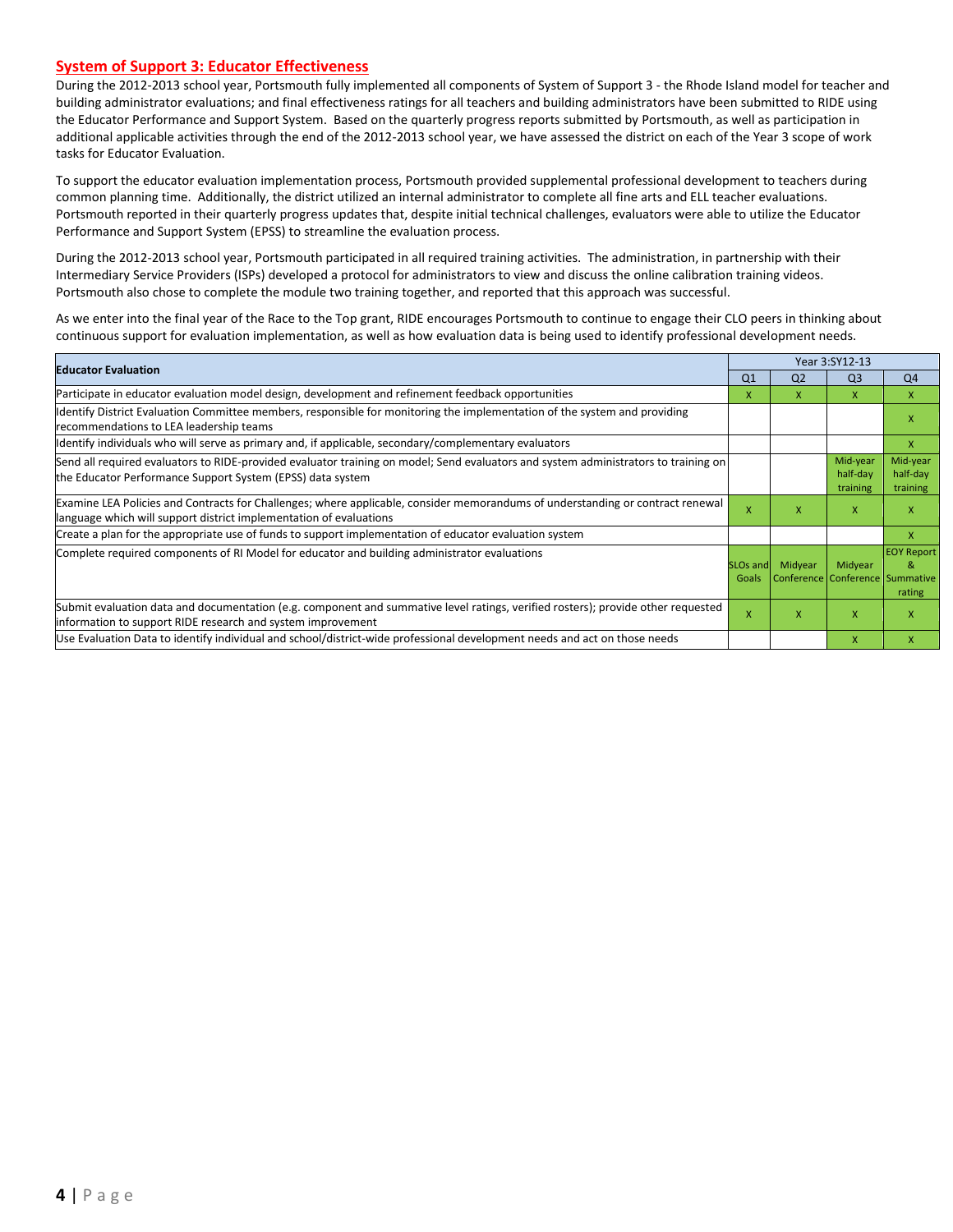#### **System of Support 3: Educator Effectiveness**

During the 2012-2013 school year, Portsmouth fully implemented all components of System of Support 3 - the Rhode Island model for teacher and building administrator evaluations; and final effectiveness ratings for all teachers and building administrators have been submitted to RIDE using the Educator Performance and Support System. Based on the quarterly progress reports submitted by Portsmouth, as well as participation in additional applicable activities through the end of the 2012-2013 school year, we have assessed the district on each of the Year 3 scope of work tasks for Educator Evaluation.

To support the educator evaluation implementation process, Portsmouth provided supplemental professional development to teachers during common planning time. Additionally, the district utilized an internal administrator to complete all fine arts and ELL teacher evaluations. Portsmouth reported in their quarterly progress updates that, despite initial technical challenges, evaluators were able to utilize the Educator Performance and Support System (EPSS) to streamline the evaluation process.

During the 2012-2013 school year, Portsmouth participated in all required training activities. The administration, in partnership with their Intermediary Service Providers (ISPs) developed a protocol for administrators to view and discuss the online calibration training videos. Portsmouth also chose to complete the module two training together, and reported that this approach was successful.

As we enter into the final year of the Race to the Top grant, RIDE encourages Portsmouth to continue to engage their CLO peers in thinking about continuous support for evaluation implementation, as well as how evaluation data is being used to identify professional development needs.

| <b>Educator Evaluation</b>                                                                                                                                                                           |                               |                | Year 3:SY12-13                             |                                  |
|------------------------------------------------------------------------------------------------------------------------------------------------------------------------------------------------------|-------------------------------|----------------|--------------------------------------------|----------------------------------|
|                                                                                                                                                                                                      | Q <sub>1</sub>                | Q <sub>2</sub> | Q <sub>3</sub>                             | Q <sub>4</sub>                   |
| Participate in educator evaluation model design, development and refinement feedback opportunities                                                                                                   | x                             | X.             | x                                          | X                                |
| Identify District Evaluation Committee members, responsible for monitoring the implementation of the system and providing<br>recommendations to LEA leadership teams                                 |                               |                |                                            | x                                |
| ldentify individuals who will serve as primary and, if applicable, secondary/complementary evaluators                                                                                                |                               |                |                                            | X                                |
| Send all required evaluators to RIDE-provided evaluator training on model; Send evaluators and system administrators to training on<br>the Educator Performance Support System (EPSS) data system    |                               |                | Mid-year<br>half-day<br>training           | Mid-year<br>half-day<br>training |
| Examine LEA Policies and Contracts for Challenges; where applicable, consider memorandums of understanding or contract renewal<br>language which will support district implementation of evaluations | X                             | X              | X                                          | X                                |
| Create a plan for the appropriate use of funds to support implementation of educator evaluation system                                                                                               |                               |                |                                            | X                                |
| Complete required components of RI Model for educator and building administrator evaluations                                                                                                         | SLO <sub>s</sub> and<br>Goals | Midyear        | Midyear<br>Conference Conference Summative | <b>EOY Report</b><br>&<br>rating |
| Submit evaluation data and documentation (e.g. component and summative level ratings, verified rosters); provide other requested<br>linformation to support RIDE research and system improvement     | X                             | x              | X                                          | X                                |
| Use Evaluation Data to identify individual and school/district-wide professional development needs and act on those needs                                                                            |                               |                | X                                          | x                                |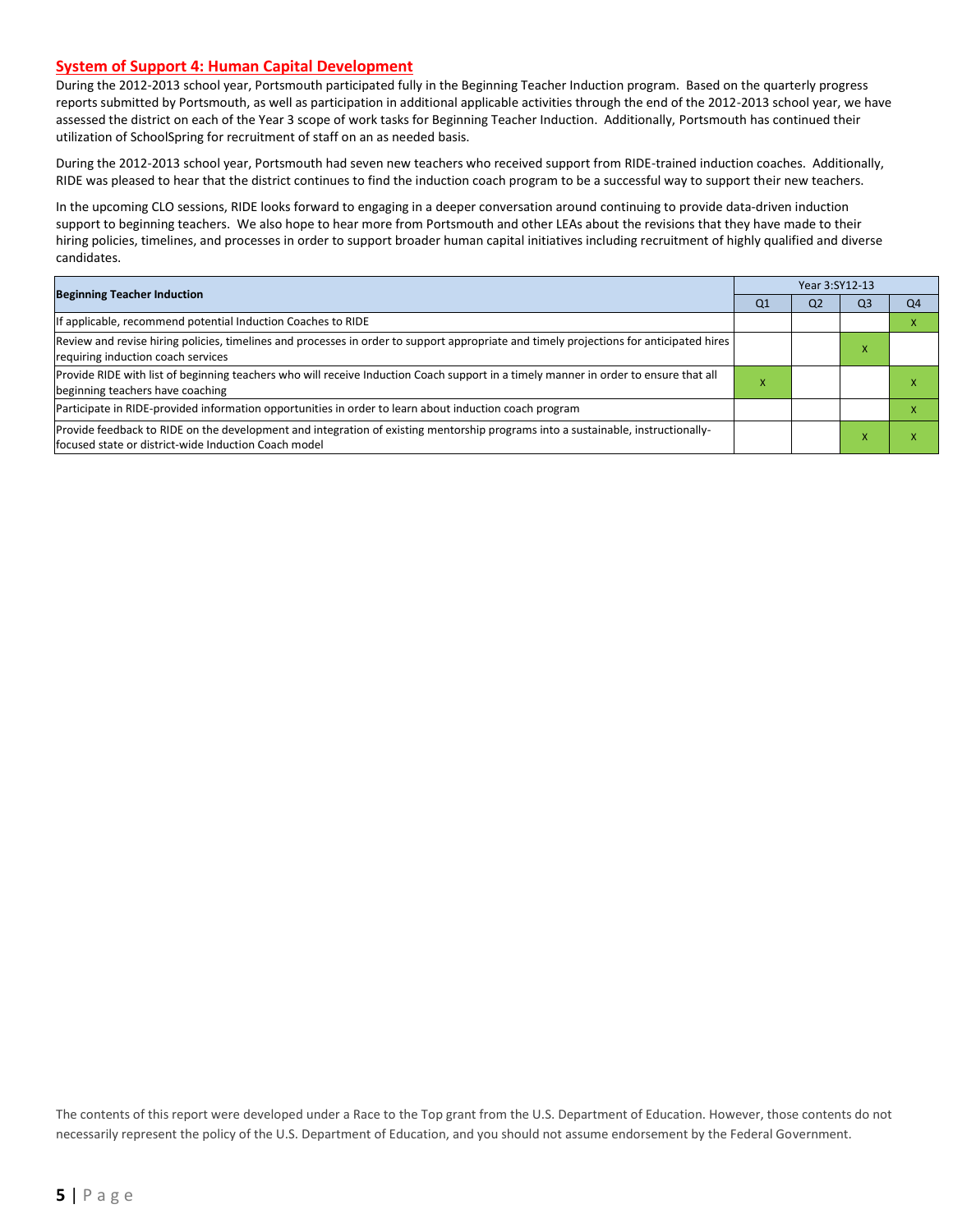#### **System of Support 4: Human Capital Development**

During the 2012-2013 school year, Portsmouth participated fully in the Beginning Teacher Induction program. Based on the quarterly progress reports submitted by Portsmouth, as well as participation in additional applicable activities through the end of the 2012-2013 school year, we have assessed the district on each of the Year 3 scope of work tasks for Beginning Teacher Induction. Additionally, Portsmouth has continued their utilization of SchoolSpring for recruitment of staff on an as needed basis.

During the 2012-2013 school year, Portsmouth had seven new teachers who received support from RIDE-trained induction coaches. Additionally, RIDE was pleased to hear that the district continues to find the induction coach program to be a successful way to support their new teachers.

In the upcoming CLO sessions, RIDE looks forward to engaging in a deeper conversation around continuing to provide data-driven induction support to beginning teachers. We also hope to hear more from Portsmouth and other LEAs about the revisions that they have made to their hiring policies, timelines, and processes in order to support broader human capital initiatives including recruitment of highly qualified and diverse candidates.

|                                                                                                                                                                                          |                | Year 3:SY12-13 |                |    |
|------------------------------------------------------------------------------------------------------------------------------------------------------------------------------------------|----------------|----------------|----------------|----|
| <b>Beginning Teacher Induction</b>                                                                                                                                                       | Q <sub>1</sub> | Q <sub>2</sub> | Q <sub>3</sub> | Q4 |
| If applicable, recommend potential Induction Coaches to RIDE                                                                                                                             |                |                |                |    |
| Review and revise hiring policies, timelines and processes in order to support appropriate and timely projections for anticipated hires<br>requiring induction coach services            |                |                | $\mathbf{A}$   |    |
| Provide RIDE with list of beginning teachers who will receive Induction Coach support in a timely manner in order to ensure that all<br>beginning teachers have coaching                 | x              |                |                |    |
| Participate in RIDE-provided information opportunities in order to learn about induction coach program                                                                                   |                |                |                |    |
| Provide feedback to RIDE on the development and integration of existing mentorship programs into a sustainable, instructionally-<br>focused state or district-wide Induction Coach model |                |                |                |    |

The contents of this report were developed under a Race to the Top grant from the U.S. Department of Education. However, those contents do not necessarily represent the policy of the U.S. Department of Education, and you should not assume endorsement by the Federal Government.